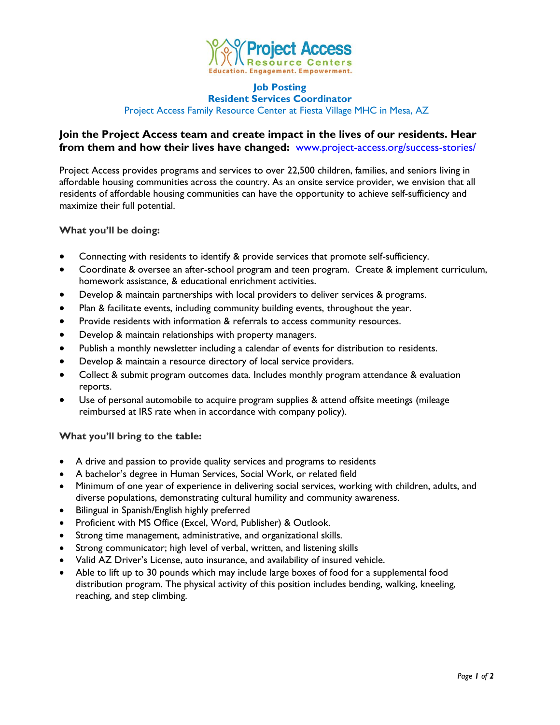

#### **Job Posting Resident Services Coordinator**

Project Access Family Resource Center at Fiesta Village MHC in Mesa, AZ

# **Join the Project Access team and create impact in the lives of our residents. Hear from them and how their lives have changed:** [www.project-access.org/success-stories/](http://www.project-access.org/success-stories/)

Project Access provides programs and services to over 22,500 children, families, and seniors living in affordable housing communities across the country. As an onsite service provider, we envision that all residents of affordable housing communities can have the opportunity to achieve self-sufficiency and maximize their full potential.

# **What you'll be doing:**

- Connecting with residents to identify & provide services that promote self-sufficiency.
- Coordinate & oversee an after-school program and teen program. Create & implement curriculum, homework assistance, & educational enrichment activities.
- Develop & maintain partnerships with local providers to deliver services & programs.
- Plan & facilitate events, including community building events, throughout the year.
- Provide residents with information & referrals to access community resources.
- Develop & maintain relationships with property managers.
- Publish a monthly newsletter including a calendar of events for distribution to residents.
- Develop & maintain a resource directory of local service providers.
- Collect & submit program outcomes data. Includes monthly program attendance & evaluation reports.
- Use of personal automobile to acquire program supplies & attend offsite meetings (mileage reimbursed at IRS rate when in accordance with company policy).

### **What you'll bring to the table:**

- A drive and passion to provide quality services and programs to residents
- A bachelor's degree in Human Services, Social Work, or related field
- Minimum of one year of experience in delivering social services, working with children, adults, and diverse populations, demonstrating cultural humility and community awareness.
- Bilingual in Spanish/English highly preferred
- Proficient with MS Office (Excel, Word, Publisher) & Outlook.
- Strong time management, administrative, and organizational skills.
- Strong communicator; high level of verbal, written, and listening skills
- Valid AZ Driver's License, auto insurance, and availability of insured vehicle.
- Able to lift up to 30 pounds which may include large boxes of food for a supplemental food distribution program. The physical activity of this position includes bending, walking, kneeling, reaching, and step climbing.